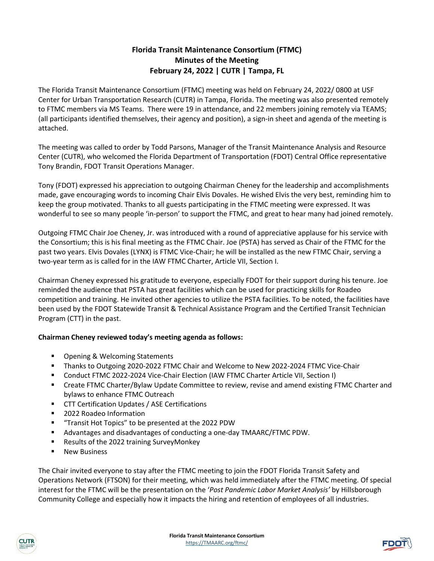# **Florida Transit Maintenance Consortium (FTMC) Minutes of the Meeting February 24, 2022 | CUTR | Tampa, FL**

The Florida Transit Maintenance Consortium (FTMC) meeting was held on February 24, 2022/ 0800 at USF Center for Urban Transportation Research (CUTR) in Tampa, Florida. The meeting was also presented remotely to FTMC members via MS Teams. There were 19 in attendance, and 22 members joining remotely via TEAMS; (all participants identified themselves, their agency and position), a sign-in sheet and agenda of the meeting is attached.

The meeting was called to order by Todd Parsons, Manager of the Transit Maintenance Analysis and Resource Center (CUTR), who welcomed the Florida Department of Transportation (FDOT) Central Office representative Tony Brandin, FDOT Transit Operations Manager.

Tony (FDOT) expressed his appreciation to outgoing Chairman Cheney for the leadership and accomplishments made, gave encouraging words to incoming Chair Elvis Dovales. He wished Elvis the very best, reminding him to keep the group motivated. Thanks to all guests participating in the FTMC meeting were expressed. It was wonderful to see so many people 'in-person' to support the FTMC, and great to hear many had joined remotely.

Outgoing FTMC Chair Joe Cheney, Jr. was introduced with a round of appreciative applause for his service with the Consortium; this is his final meeting as the FTMC Chair. Joe (PSTA) has served as Chair of the FTMC for the past two years. Elvis Dovales (LYNX) is FTMC Vice-Chair; he will be installed as the new FTMC Chair, serving a two-year term as is called for in the IAW FTMC Charter, Article VII, Section I.

Chairman Cheney expressed his gratitude to everyone, especially FDOT for their support during his tenure. Joe reminded the audience that PSTA has great facilities which can be used for practicing skills for Roadeo competition and training. He invited other agencies to utilize the PSTA facilities. To be noted, the facilities have been used by the FDOT Statewide Transit & Technical Assistance Program and the Certified Transit Technician Program (CTT) in the past.

## **Chairman Cheney reviewed today's meeting agenda as follows:**

- Opening & Welcoming Statements
- **Thanks to Outgoing 2020-2022 FTMC Chair and Welcome to New 2022-2024 FTMC Vice-Chair**
- Conduct FTMC 2022-2024 Vice-Chair Election (IAW FTMC Charter Article VII, Section I)
- Create FTMC Charter/Bylaw Update Committee to review, revise and amend existing FTMC Charter and bylaws to enhance FTMC Outreach
- CTT Certification Updates / ASE Certifications
- 2022 Roadeo Information
- "Transit Hot Topics" to be presented at the 2022 PDW
- Advantages and disadvantages of conducting a one-day TMAARC/FTMC PDW.
- Results of the 2022 training SurveyMonkey
- New Business

The Chair invited everyone to stay after the FTMC meeting to join the FDOT Florida Transit Safety and Operations Network (FTSON) for their meeting, which was held immediately after the FTMC meeting. Of special interest for the FTMC will be the presentation on the '*Post Pandemic Labor Market Analysis'* by Hillsborough Community College and especially how it impacts the hiring and retention of employees of all industries.



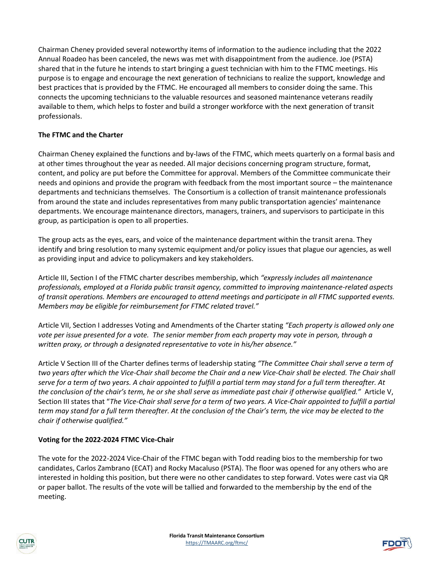Chairman Cheney provided several noteworthy items of information to the audience including that the 2022 Annual Roadeo has been canceled, the news was met with disappointment from the audience. Joe (PSTA) shared that in the future he intends to start bringing a guest technician with him to the FTMC meetings. His purpose is to engage and encourage the next generation of technicians to realize the support, knowledge and best practices that is provided by the FTMC. He encouraged all members to consider doing the same. This connects the upcoming technicians to the valuable resources and seasoned maintenance veterans readily available to them, which helps to foster and build a stronger workforce with the next generation of transit professionals.

## **The FTMC and the Charter**

Chairman Cheney explained the functions and by-laws of the FTMC, which meets quarterly on a formal basis and at other times throughout the year as needed. All major decisions concerning program structure, format, content, and policy are put before the Committee for approval. Members of the Committee communicate their needs and opinions and provide the program with feedback from the most important source – the maintenance departments and technicians themselves. The Consortium is a collection of transit maintenance professionals from around the state and includes representatives from many public transportation agencies' maintenance departments. We encourage maintenance directors, managers, trainers, and supervisors to participate in this group, as participation is open to all properties.

The group acts as the eyes, ears, and voice of the maintenance department within the transit arena. They identify and bring resolution to many systemic equipment and/or policy issues that plague our agencies, as well as providing input and advice to policymakers and key stakeholders.

Article III, Section I of the FTMC charter describes membership, which *"expressly includes all maintenance professionals, employed at a Florida public transit agency, committed to improving maintenance-related aspects of transit operations. Members are encouraged to attend meetings and participate in all FTMC supported events. Members may be eligible for reimbursement for FTMC related travel."*

Article VII, Section I addresses Voting and Amendments of the Charter stating *"Each property is allowed only one vote per issue presented for a vote. The senior member from each property may vote in person, through a written proxy, or through a designated representative to vote in his/her absence."*

Article V Section III of the Charter defines terms of leadership stating *"The Committee Chair shall serve a term of*  two years after which the Vice-Chair shall become the Chair and a new Vice-Chair shall be elected. The Chair shall *serve for a term of two years. A chair appointed to fulfill a partial term may stand for a full term thereafter. At the conclusion of the chair's term, he or she shall serve as immediate past chair if otherwise qualified."* Article V, Section III states that "*The Vice-Chair shall serve for a term of two years. A Vice-Chair appointed to fulfill a partial term may stand for a full term thereafter. At the conclusion of the Chair's term, the vice may be elected to the chair if otherwise qualified."*

#### **Voting for the 2022-2024 FTMC Vice-Chair**

The vote for the 2022-2024 Vice-Chair of the FTMC began with Todd reading bios to the membership for two candidates, Carlos Zambrano (ECAT) and Rocky Macaluso (PSTA). The floor was opened for any others who are interested in holding this position, but there were no other candidates to step forward. Votes were cast via QR or paper ballot. The results of the vote will be tallied and forwarded to the membership by the end of the meeting.

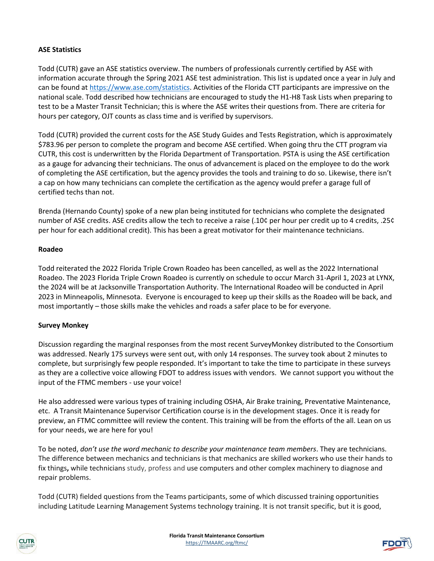### **ASE Statistics**

Todd (CUTR) gave an ASE statistics overview. The numbers of professionals currently certified by ASE with information accurate through the Spring 2021 ASE test administration. This list is updated once a year in July and can be found at [https://www.ase.com/statistics.](https://www.ase.com/statistics) Activities of the Florida CTT participants are impressive on the national scale. Todd described how technicians are encouraged to study the H1-H8 Task Lists when preparing to test to be a Master Transit Technician; this is where the ASE writes their questions from. There are criteria for hours per category, OJT counts as class time and is verified by supervisors.

Todd (CUTR) provided the current costs for the ASE Study Guides and Tests Registration, which is approximately \$783.96 per person to complete the program and become ASE certified. When going thru the CTT program via CUTR, this cost is underwritten by the Florida Department of Transportation. PSTA is using the ASE certification as a gauge for advancing their technicians. The onus of advancement is placed on the employee to do the work of completing the ASE certification, but the agency provides the tools and training to do so. Likewise, there isn't a cap on how many technicians can complete the certification as the agency would prefer a garage full of certified techs than not.

Brenda (Hernando County) spoke of a new plan being instituted for technicians who complete the designated number of ASE credits. ASE credits allow the tech to receive a raise (.10¢ per hour per credit up to 4 credits, .25¢ per hour for each additional credit). This has been a great motivator for their maintenance technicians.

#### **Roadeo**

Todd reiterated the 2022 Florida Triple Crown Roadeo has been cancelled, as well as the 2022 International Roadeo. The 2023 Florida Triple Crown Roadeo is currently on schedule to occur March 31-April 1, 2023 at LYNX, the 2024 will be at Jacksonville Transportation Authority. The International Roadeo will be conducted in April 2023 in Minneapolis, Minnesota. Everyone is encouraged to keep up their skills as the Roadeo will be back, and most importantly – those skills make the vehicles and roads a safer place to be for everyone.

#### **Survey Monkey**

Discussion regarding the marginal responses from the most recent SurveyMonkey distributed to the Consortium was addressed. Nearly 175 surveys were sent out, with only 14 responses. The survey took about 2 minutes to complete, but surprisingly few people responded. It's important to take the time to participate in these surveys as they are a collective voice allowing FDOT to address issues with vendors. We cannot support you without the input of the FTMC members - use your voice!

He also addressed were various types of training including OSHA, Air Brake training, Preventative Maintenance, etc. A Transit Maintenance Supervisor Certification course is in the development stages. Once it is ready for preview, an FTMC committee will review the content. This training will be from the efforts of the all. Lean on us for your needs, we are here for you!

To be noted, *don't use the word mechanic to describe your maintenance team members*. They are technicians. The difference between mechanics and technicians is that mechanics are skilled workers who use their hands to fix things**,** while technicians study, profess and use computers and other complex machinery to diagnose and repair problems.

Todd (CUTR) fielded questions from the Teams participants, some of which discussed training opportunities including Latitude Learning Management Systems technology training. It is not transit specific, but it is good,



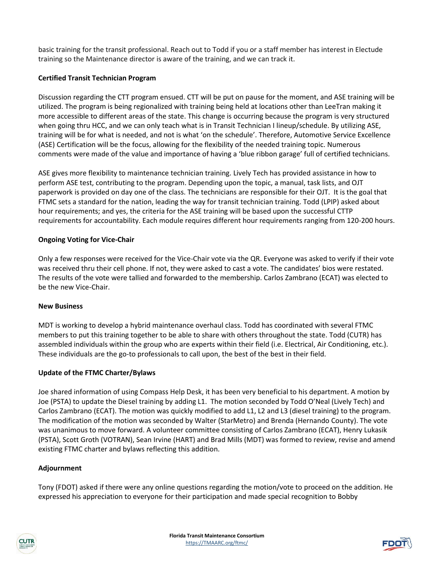basic training for the transit professional. Reach out to Todd if you or a staff member has interest in Electude training so the Maintenance director is aware of the training, and we can track it.

## **Certified Transit Technician Program**

Discussion regarding the CTT program ensued. CTT will be put on pause for the moment, and ASE training will be utilized. The program is being regionalized with training being held at locations other than LeeTran making it more accessible to different areas of the state. This change is occurring because the program is very structured when going thru HCC, and we can only teach what is in Transit Technician I lineup/schedule. By utilizing ASE, training will be for what is needed, and not is what 'on the schedule'. Therefore, Automotive Service Excellence (ASE) Certification will be the focus, allowing for the flexibility of the needed training topic. Numerous comments were made of the value and importance of having a 'blue ribbon garage' full of certified technicians.

ASE gives more flexibility to maintenance technician training. Lively Tech has provided assistance in how to perform ASE test, contributing to the program. Depending upon the topic, a manual, task lists, and OJT paperwork is provided on day one of the class. The technicians are responsible for their OJT. It is the goal that FTMC sets a standard for the nation, leading the way for transit technician training. Todd (LPIP) asked about hour requirements; and yes, the criteria for the ASE training will be based upon the successful CTTP requirements for accountability. Each module requires different hour requirements ranging from 120-200 hours.

#### **Ongoing Voting for Vice-Chair**

Only a few responses were received for the Vice-Chair vote via the QR. Everyone was asked to verify if their vote was received thru their cell phone. If not, they were asked to cast a vote. The candidates' bios were restated. The results of the vote were tallied and forwarded to the membership. Carlos Zambrano (ECAT) was elected to be the new Vice-Chair.

#### **New Business**

MDT is working to develop a hybrid maintenance overhaul class. Todd has coordinated with several FTMC members to put this training together to be able to share with others throughout the state. Todd (CUTR) has assembled individuals within the group who are experts within their field (i.e. Electrical, Air Conditioning, etc.). These individuals are the go-to professionals to call upon, the best of the best in their field.

#### **Update of the FTMC Charter/Bylaws**

Joe shared information of using Compass Help Desk, it has been very beneficial to his department. A motion by Joe (PSTA) to update the Diesel training by adding L1. The motion seconded by Todd O'Neal (Lively Tech) and Carlos Zambrano (ECAT). The motion was quickly modified to add L1, L2 and L3 (diesel training) to the program. The modification of the motion was seconded by Walter (StarMetro) and Brenda (Hernando County). The vote was unanimous to move forward. A volunteer committee consisting of Carlos Zambrano (ECAT), Henry Lukasik (PSTA), Scott Groth (VOTRAN), Sean Irvine (HART) and Brad Mills (MDT) was formed to review, revise and amend existing FTMC charter and bylaws reflecting this addition.

#### **Adjournment**

Tony (FDOT) asked if there were any online questions regarding the motion/vote to proceed on the addition. He expressed his appreciation to everyone for their participation and made special recognition to Bobby